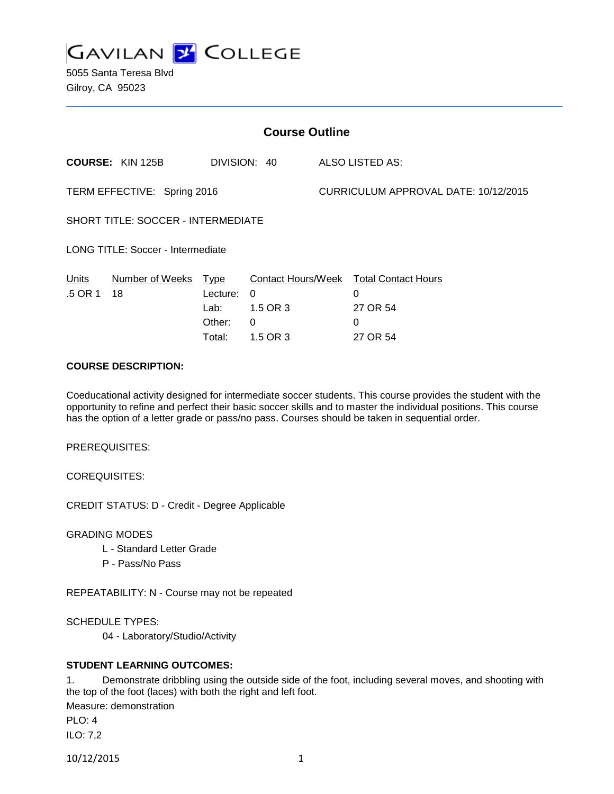

5055 Santa Teresa Blvd Gilroy, CA 95023

| <b>Course Outline</b>                    |                         |                                                |                                                             |                                      |                                                                     |
|------------------------------------------|-------------------------|------------------------------------------------|-------------------------------------------------------------|--------------------------------------|---------------------------------------------------------------------|
|                                          | <b>COURSE: KIN 125B</b> |                                                | DIVISION: 40                                                |                                      | ALSO LISTED AS:                                                     |
| TERM EFFECTIVE: Spring 2016              |                         |                                                |                                                             | CURRICULUM APPROVAL DATE: 10/12/2015 |                                                                     |
| SHORT TITLE: SOCCER - INTERMEDIATE       |                         |                                                |                                                             |                                      |                                                                     |
| <b>LONG TITLE: Soccer - Intermediate</b> |                         |                                                |                                                             |                                      |                                                                     |
| Units<br>.5 OR 1                         | Number of Weeks<br>18   | Type<br>Lecture:<br>Lab: .<br>Other:<br>Total: | Contact Hours/Week<br>0<br>1.5 OR 3<br>$\Omega$<br>1.5 OR 3 |                                      | <b>Total Contact Hours</b><br>0<br>27 OR 54<br>$\Omega$<br>27 OR 54 |

## **COURSE DESCRIPTION:**

Coeducational activity designed for intermediate soccer students. This course provides the student with the opportunity to refine and perfect their basic soccer skills and to master the individual positions. This course has the option of a letter grade or pass/no pass. Courses should be taken in sequential order.

PREREQUISITES:

COREQUISITES:

CREDIT STATUS: D - Credit - Degree Applicable

GRADING MODES

- L Standard Letter Grade
- P Pass/No Pass

REPEATABILITY: N - Course may not be repeated

SCHEDULE TYPES:

04 - Laboratory/Studio/Activity

### **STUDENT LEARNING OUTCOMES:**

1. Demonstrate dribbling using the outside side of the foot, including several moves, and shooting with the top of the foot (laces) with both the right and left foot.

Measure: demonstration

PLO: 4 ILO: 7,2

10/12/2015 1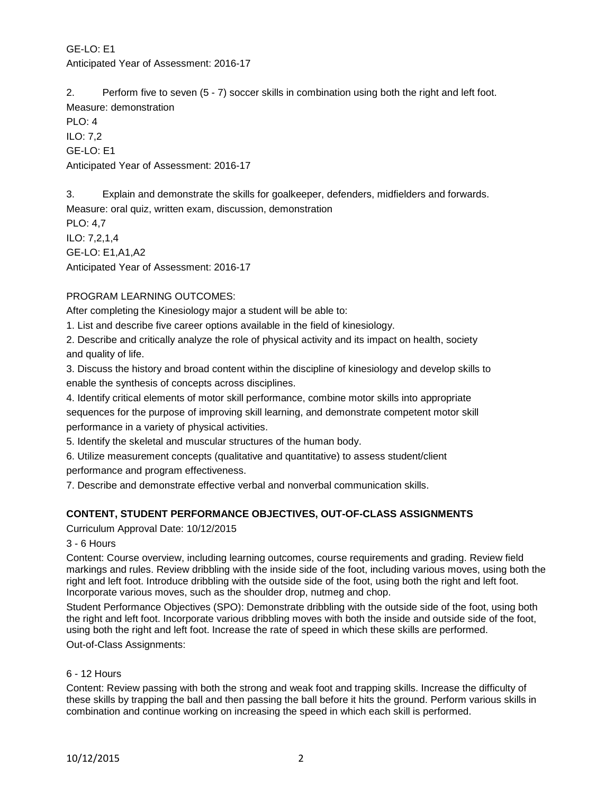# GE-LO: E1 Anticipated Year of Assessment: 2016-17

2. Perform five to seven (5 - 7) soccer skills in combination using both the right and left foot. Measure: demonstration

PLO: 4 ILO: 7,2 GE-LO: E1 Anticipated Year of Assessment: 2016-17

3. Explain and demonstrate the skills for goalkeeper, defenders, midfielders and forwards.

Measure: oral quiz, written exam, discussion, demonstration

PLO: 4,7 ILO: 7,2,1,4 GE-LO: E1,A1,A2 Anticipated Year of Assessment: 2016-17

# PROGRAM LEARNING OUTCOMES:

After completing the Kinesiology major a student will be able to:

1. List and describe five career options available in the field of kinesiology.

2. Describe and critically analyze the role of physical activity and its impact on health, society and quality of life.

3. Discuss the history and broad content within the discipline of kinesiology and develop skills to enable the synthesis of concepts across disciplines.

4. Identify critical elements of motor skill performance, combine motor skills into appropriate sequences for the purpose of improving skill learning, and demonstrate competent motor skill performance in a variety of physical activities.

5. Identify the skeletal and muscular structures of the human body.

6. Utilize measurement concepts (qualitative and quantitative) to assess student/client

performance and program effectiveness.

7. Describe and demonstrate effective verbal and nonverbal communication skills.

## **CONTENT, STUDENT PERFORMANCE OBJECTIVES, OUT-OF-CLASS ASSIGNMENTS**

Curriculum Approval Date: 10/12/2015

## 3 - 6 Hours

Content: Course overview, including learning outcomes, course requirements and grading. Review field markings and rules. Review dribbling with the inside side of the foot, including various moves, using both the right and left foot. Introduce dribbling with the outside side of the foot, using both the right and left foot. Incorporate various moves, such as the shoulder drop, nutmeg and chop.

Student Performance Objectives (SPO): Demonstrate dribbling with the outside side of the foot, using both the right and left foot. Incorporate various dribbling moves with both the inside and outside side of the foot, using both the right and left foot. Increase the rate of speed in which these skills are performed. Out-of-Class Assignments:

### 6 - 12 Hours

Content: Review passing with both the strong and weak foot and trapping skills. Increase the difficulty of these skills by trapping the ball and then passing the ball before it hits the ground. Perform various skills in combination and continue working on increasing the speed in which each skill is performed.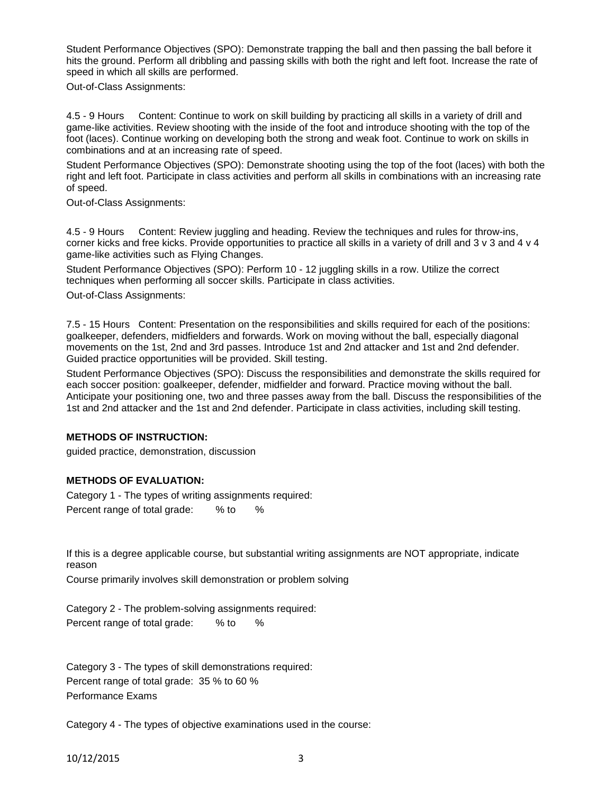Student Performance Objectives (SPO): Demonstrate trapping the ball and then passing the ball before it hits the ground. Perform all dribbling and passing skills with both the right and left foot. Increase the rate of speed in which all skills are performed.

Out-of-Class Assignments:

4.5 - 9 Hours Content: Continue to work on skill building by practicing all skills in a variety of drill and game-like activities. Review shooting with the inside of the foot and introduce shooting with the top of the foot (laces). Continue working on developing both the strong and weak foot. Continue to work on skills in combinations and at an increasing rate of speed.

Student Performance Objectives (SPO): Demonstrate shooting using the top of the foot (laces) with both the right and left foot. Participate in class activities and perform all skills in combinations with an increasing rate of speed.

Out-of-Class Assignments:

4.5 - 9 Hours Content: Review juggling and heading. Review the techniques and rules for throw-ins, corner kicks and free kicks. Provide opportunities to practice all skills in a variety of drill and 3 v 3 and 4 v 4 game-like activities such as Flying Changes.

Student Performance Objectives (SPO): Perform 10 - 12 juggling skills in a row. Utilize the correct techniques when performing all soccer skills. Participate in class activities.

Out-of-Class Assignments:

7.5 - 15 Hours Content: Presentation on the responsibilities and skills required for each of the positions: goalkeeper, defenders, midfielders and forwards. Work on moving without the ball, especially diagonal movements on the 1st, 2nd and 3rd passes. Introduce 1st and 2nd attacker and 1st and 2nd defender. Guided practice opportunities will be provided. Skill testing.

Student Performance Objectives (SPO): Discuss the responsibilities and demonstrate the skills required for each soccer position: goalkeeper, defender, midfielder and forward. Practice moving without the ball. Anticipate your positioning one, two and three passes away from the ball. Discuss the responsibilities of the 1st and 2nd attacker and the 1st and 2nd defender. Participate in class activities, including skill testing.

#### **METHODS OF INSTRUCTION:**

guided practice, demonstration, discussion

## **METHODS OF EVALUATION:**

Category 1 - The types of writing assignments required: Percent range of total grade: % to %

If this is a degree applicable course, but substantial writing assignments are NOT appropriate, indicate reason

Course primarily involves skill demonstration or problem solving

Category 2 - The problem-solving assignments required: Percent range of total grade: % to %

Category 3 - The types of skill demonstrations required: Percent range of total grade: 35 % to 60 % Performance Exams

Category 4 - The types of objective examinations used in the course:

10/12/2015 3